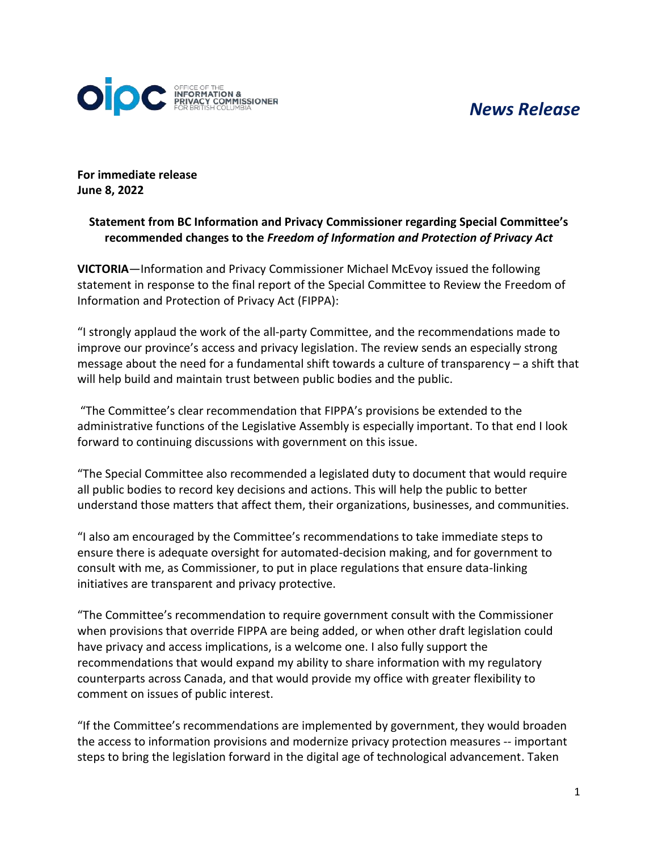## *News Release*



**For immediate release June 8, 2022**

## **Statement from BC Information and Privacy Commissioner regarding Special Committee's recommended changes to the** *Freedom of Information and Protection of Privacy Act*

**VICTORIA**—Information and Privacy Commissioner Michael McEvoy issued the following statement in response to the final report of the Special Committee to Review the Freedom of Information and Protection of Privacy Act (FIPPA):

"I strongly applaud the work of the all-party Committee, and the recommendations made to improve our province's access and privacy legislation. The review sends an especially strong message about the need for a fundamental shift towards a culture of transparency – a shift that will help build and maintain trust between public bodies and the public.

"The Committee's clear recommendation that FIPPA's provisions be extended to the administrative functions of the Legislative Assembly is especially important. To that end I look forward to continuing discussions with government on this issue.

"The Special Committee also recommended a legislated duty to document that would require all public bodies to record key decisions and actions. This will help the public to better understand those matters that affect them, their organizations, businesses, and communities.

"I also am encouraged by the Committee's recommendations to take immediate steps to ensure there is adequate oversight for automated-decision making, and for government to consult with me, as Commissioner, to put in place regulations that ensure data-linking initiatives are transparent and privacy protective.

"The Committee's recommendation to require government consult with the Commissioner when provisions that override FIPPA are being added, or when other draft legislation could have privacy and access implications, is a welcome one. I also fully support the recommendations that would expand my ability to share information with my regulatory counterparts across Canada, and that would provide my office with greater flexibility to comment on issues of public interest.

"If the Committee's recommendations are implemented by government, they would broaden the access to information provisions and modernize privacy protection measures -- important steps to bring the legislation forward in the digital age of technological advancement. Taken